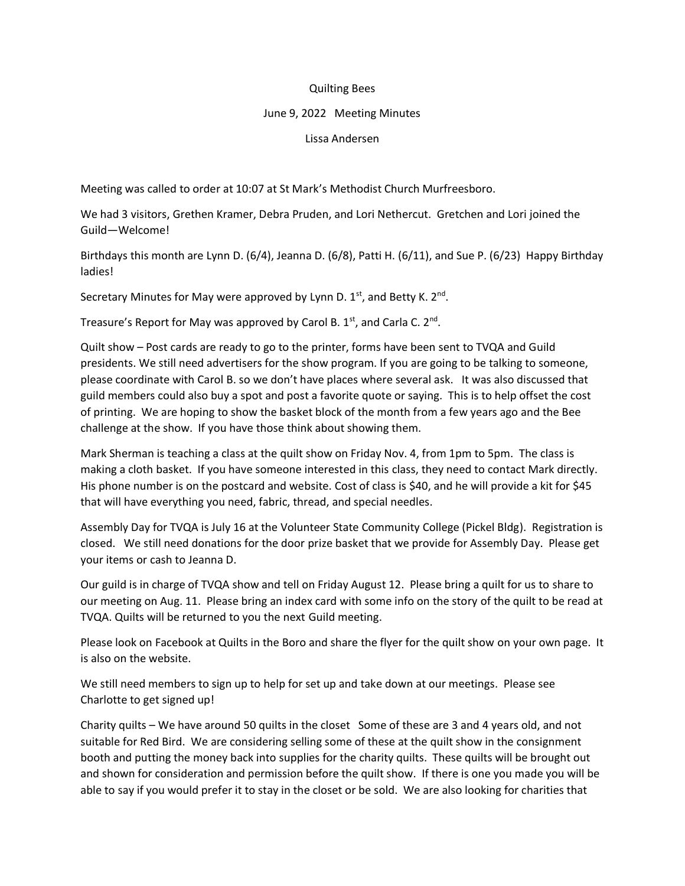## Quilting Bees

## June 9, 2022 Meeting Minutes

## Lissa Andersen

Meeting was called to order at 10:07 at St Mark's Methodist Church Murfreesboro.

We had 3 visitors, Grethen Kramer, Debra Pruden, and Lori Nethercut. Gretchen and Lori joined the Guild—Welcome!

Birthdays this month are Lynn D. (6/4), Jeanna D. (6/8), Patti H. (6/11), and Sue P. (6/23) Happy Birthday ladies!

Secretary Minutes for May were approved by Lynn D.  $1<sup>st</sup>$ , and Betty K.  $2<sup>nd</sup>$ .

Treasure's Report for May was approved by Carol B.  $1<sup>st</sup>$ , and Carla C.  $2<sup>nd</sup>$ .

Quilt show – Post cards are ready to go to the printer, forms have been sent to TVQA and Guild presidents. We still need advertisers for the show program. If you are going to be talking to someone, please coordinate with Carol B. so we don't have places where several ask. It was also discussed that guild members could also buy a spot and post a favorite quote or saying. This is to help offset the cost of printing. We are hoping to show the basket block of the month from a few years ago and the Bee challenge at the show. If you have those think about showing them.

Mark Sherman is teaching a class at the quilt show on Friday Nov. 4, from 1pm to 5pm. The class is making a cloth basket. If you have someone interested in this class, they need to contact Mark directly. His phone number is on the postcard and website. Cost of class is \$40, and he will provide a kit for \$45 that will have everything you need, fabric, thread, and special needles.

Assembly Day for TVQA is July 16 at the Volunteer State Community College (Pickel Bldg). Registration is closed. We still need donations for the door prize basket that we provide for Assembly Day. Please get your items or cash to Jeanna D.

Our guild is in charge of TVQA show and tell on Friday August 12. Please bring a quilt for us to share to our meeting on Aug. 11. Please bring an index card with some info on the story of the quilt to be read at TVQA. Quilts will be returned to you the next Guild meeting.

Please look on Facebook at Quilts in the Boro and share the flyer for the quilt show on your own page. It is also on the website.

We still need members to sign up to help for set up and take down at our meetings. Please see Charlotte to get signed up!

Charity quilts – We have around 50 quilts in the closet Some of these are 3 and 4 years old, and not suitable for Red Bird. We are considering selling some of these at the quilt show in the consignment booth and putting the money back into supplies for the charity quilts. These quilts will be brought out and shown for consideration and permission before the quilt show. If there is one you made you will be able to say if you would prefer it to stay in the closet or be sold. We are also looking for charities that